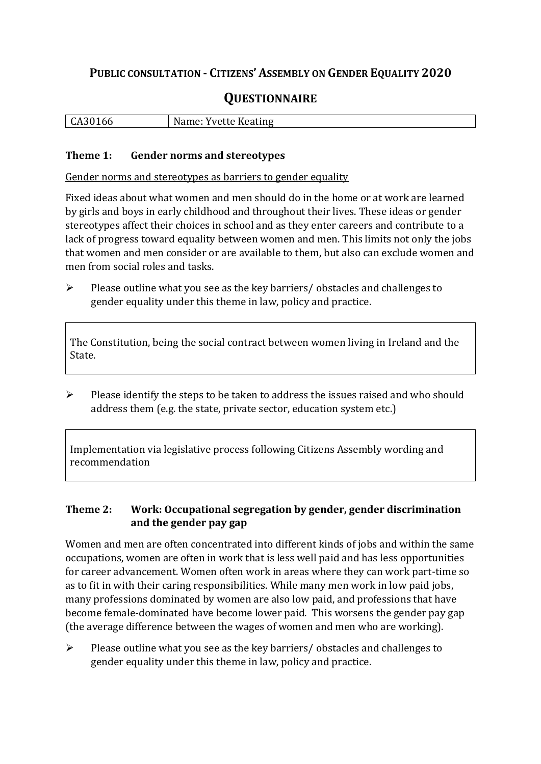## **PUBLIC CONSULTATION - CITIZENS' ASSEMBLY ON GENDER EQUALITY 2020**

# **QUESTIONNAIRE**

| <b>Yvette Keating</b><br>  CA301<br>'66 |
|-----------------------------------------|
|-----------------------------------------|

#### **Theme 1: Gender norms and stereotypes**

Gender norms and stereotypes as barriers to gender equality

Fixed ideas about what women and men should do in the home or at work are learned by girls and boys in early childhood and throughout their lives. These ideas or gender stereotypes affect their choices in school and as they enter careers and contribute to a lack of progress toward equality between women and men. This limits not only the jobs that women and men consider or are available to them, but also can exclude women and men from social roles and tasks.

 $\triangleright$  Please outline what you see as the key barriers/ obstacles and challenges to gender equality under this theme in law, policy and practice.

The Constitution, being the social contract between women living in Ireland and the State.

 $\triangleright$  Please identify the steps to be taken to address the issues raised and who should address them (e.g. the state, private sector, education system etc.)

Implementation via legislative process following Citizens Assembly wording and recommendation

### **Theme 2: Work: Occupational segregation by gender, gender discrimination and the gender pay gap**

Women and men are often concentrated into different kinds of jobs and within the same occupations, women are often in work that is less well paid and has less opportunities for career advancement. Women often work in areas where they can work part-time so as to fit in with their caring responsibilities. While many men work in low paid jobs, many professions dominated by women are also low paid, and professions that have become female-dominated have become lower paid. This worsens the gender pay gap (the average difference between the wages of women and men who are working).

 $\triangleright$  Please outline what you see as the key barriers/ obstacles and challenges to gender equality under this theme in law, policy and practice.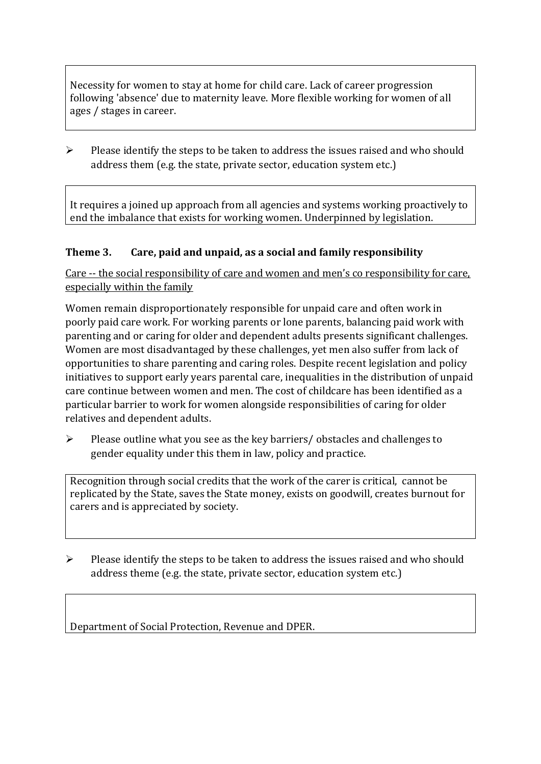Necessity for women to stay at home for child care. Lack of career progression following 'absence' due to maternity leave. More flexible working for women of all ages / stages in career.

 $\triangleright$  Please identify the steps to be taken to address the issues raised and who should address them (e.g. the state, private sector, education system etc.)

It requires a joined up approach from all agencies and systems working proactively to end the imbalance that exists for working women. Underpinned by legislation.

### **Theme 3. Care, paid and unpaid, as a social and family responsibility**

Care -- the social responsibility of care and women and men's co responsibility for care, especially within the family

Women remain disproportionately responsible for unpaid care and often work in poorly paid care work. For working parents or [lone parents,](https://aran.library.nuigalway.ie/bitstream/handle/10379/6044/Millar_and_Crosse_Activation_Report.pdf?sequence=1&isAllowed=y) balancing paid work with parenting and or caring for older and dependent adults presents significant challenges. Women are [most disadvantaged by these challenges,](https://eige.europa.eu/gender-equality-index/game/IE/W) yet men also suffer from lack of opportunities to share parenting and caring roles. Despite recent legislation and policy initiatives to support early years parental care, [inequalities in the distribution of unpaid](https://www.ihrec.ie/app/uploads/2019/07/Caring-and-Unpaid-Work-in-Ireland_Final.pdf)  [care](https://www.ihrec.ie/app/uploads/2019/07/Caring-and-Unpaid-Work-in-Ireland_Final.pdf) continue between women and men. The cost of childcare has been identified as a particular barrier to work for women alongside responsibilities of caring for older relatives and dependent adults.

 $\triangleright$  Please outline what you see as the key barriers/ obstacles and challenges to gender equality under this them in law, policy and practice.

Recognition through social credits that the work of the carer is critical, cannot be replicated by the State, saves the State money, exists on goodwill, creates burnout for carers and is appreciated by society.

 $\triangleright$  Please identify the steps to be taken to address the issues raised and who should address theme (e.g. the state, private sector, education system etc.)

Department of Social Protection, Revenue and DPER.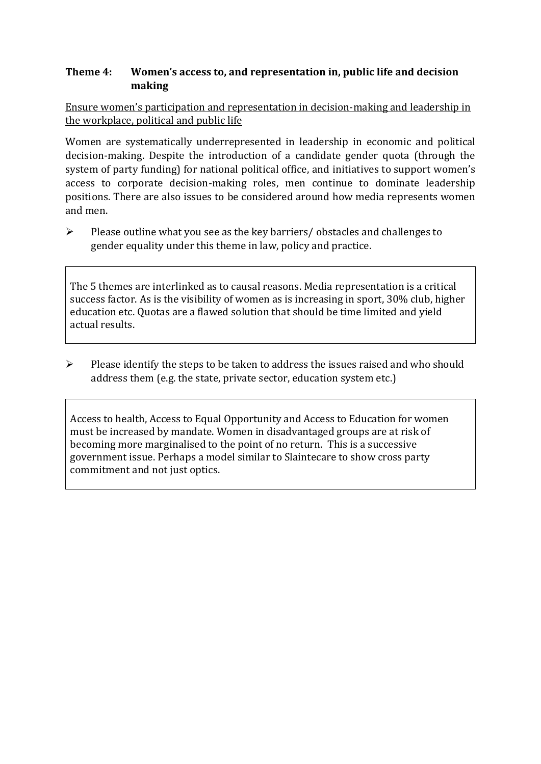#### **Theme 4: Women's access to, and representation in, public life and decision making**

Ensure women's participation and representation in decision-making and leadership in the workplace, political and public life

Women are systematically underrepresented in leadership in [economic](https://eige.europa.eu/gender-equality-index/2019/compare-countries/power/2/bar) and [political](https://eige.europa.eu/gender-equality-index/2019/compare-countries/power/1/bar)  [decision-](https://eige.europa.eu/gender-equality-index/2019/compare-countries/power/1/bar)making. Despite the introduction of a candidate gender quota (through the system of party funding) for national political office, and [initiatives](https://betterbalance.ie/) to support women's access to corporate decision-making roles, men continue to dominate leadership positions. There are also issues to be considered around how media represents women and men.

 $\triangleright$  Please outline what you see as the key barriers/ obstacles and challenges to gender equality under this theme in law, policy and practice.

The 5 themes are interlinked as to causal reasons. Media representation is a critical success factor. As is the visibility of women as is increasing in sport, 30% club, higher education etc. Quotas are a flawed solution that should be time limited and yield actual results.

 $\triangleright$  Please identify the steps to be taken to address the issues raised and who should address them (e.g. the state, private sector, education system etc.)

Access to health, Access to Equal Opportunity and Access to Education for women must be increased by mandate. Women in disadvantaged groups are at risk of becoming more marginalised to the point of no return. This is a successive government issue. Perhaps a model similar to Slaintecare to show cross party commitment and not just optics.